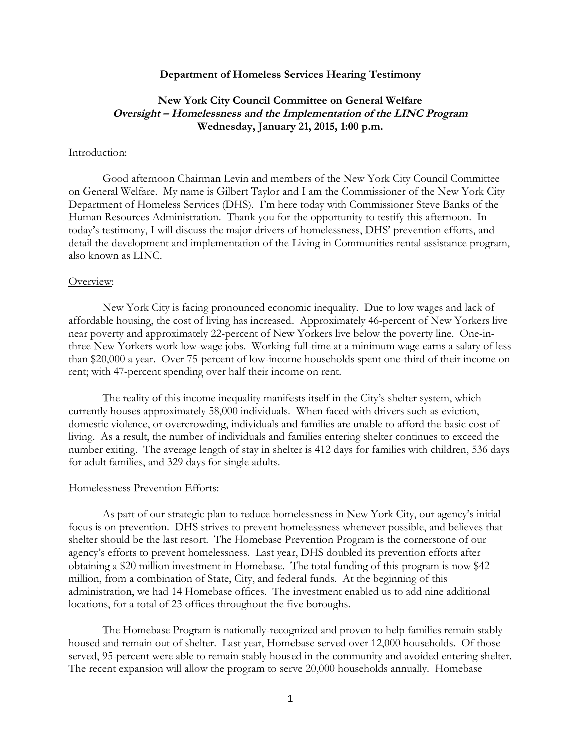## **Department of Homeless Services Hearing Testimony**

# **New York City Council Committee on General Welfare Oversight – Homelessness and the Implementation of the LINC Program Wednesday, January 21, 2015, 1:00 p.m.**

## Introduction:

Good afternoon Chairman Levin and members of the New York City Council Committee on General Welfare. My name is Gilbert Taylor and I am the Commissioner of the New York City Department of Homeless Services (DHS). I'm here today with Commissioner Steve Banks of the Human Resources Administration. Thank you for the opportunity to testify this afternoon. In today's testimony, I will discuss the major drivers of homelessness, DHS' prevention efforts, and detail the development and implementation of the Living in Communities rental assistance program, also known as LINC.

# Overview:

New York City is facing pronounced economic inequality. Due to low wages and lack of affordable housing, the cost of living has increased. Approximately 46-percent of New Yorkers live near poverty and approximately 22-percent of New Yorkers live below the poverty line. One-inthree New Yorkers work low-wage jobs. Working full-time at a minimum wage earns a salary of less than \$20,000 a year. Over 75-percent of low-income households spent one-third of their income on rent; with 47-percent spending over half their income on rent.

The reality of this income inequality manifests itself in the City's shelter system, which currently houses approximately 58,000 individuals. When faced with drivers such as eviction, domestic violence, or overcrowding, individuals and families are unable to afford the basic cost of living. As a result, the number of individuals and families entering shelter continues to exceed the number exiting. The average length of stay in shelter is 412 days for families with children, 536 days for adult families, and 329 days for single adults.

#### Homelessness Prevention Efforts:

As part of our strategic plan to reduce homelessness in New York City, our agency's initial focus is on prevention. DHS strives to prevent homelessness whenever possible, and believes that shelter should be the last resort. The Homebase Prevention Program is the cornerstone of our agency's efforts to prevent homelessness. Last year, DHS doubled its prevention efforts after obtaining a \$20 million investment in Homebase. The total funding of this program is now \$42 million, from a combination of State, City, and federal funds. At the beginning of this administration, we had 14 Homebase offices. The investment enabled us to add nine additional locations, for a total of 23 offices throughout the five boroughs.

The Homebase Program is nationally-recognized and proven to help families remain stably housed and remain out of shelter. Last year, Homebase served over 12,000 households. Of those served, 95-percent were able to remain stably housed in the community and avoided entering shelter. The recent expansion will allow the program to serve 20,000 households annually. Homebase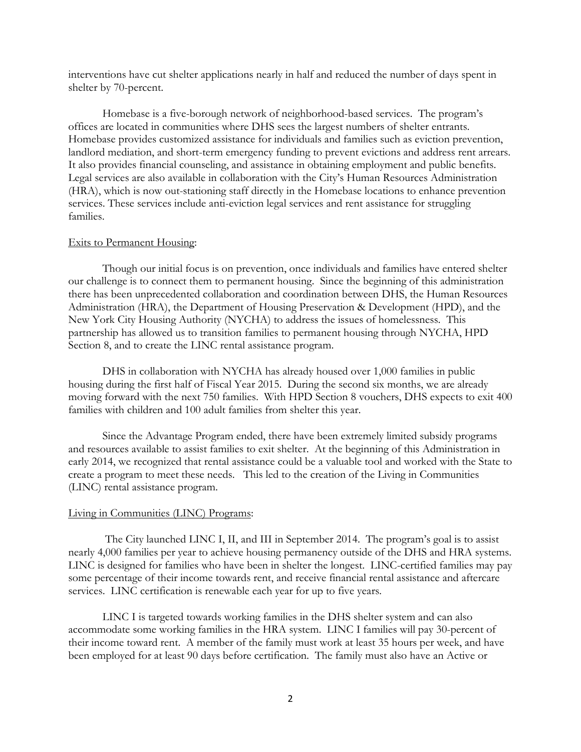interventions have cut shelter applications nearly in half and reduced the number of days spent in shelter by 70-percent.

Homebase is a five-borough network of neighborhood-based services. The program's offices are located in communities where DHS sees the largest numbers of shelter entrants. Homebase provides customized assistance for individuals and families such as eviction prevention, landlord mediation, and short-term emergency funding to prevent evictions and address rent arrears. It also provides financial counseling, and assistance in obtaining employment and public benefits. Legal services are also available in collaboration with the City's Human Resources Administration (HRA), which is now out-stationing staff directly in the Homebase locations to enhance prevention services. These services include anti-eviction legal services and rent assistance for struggling families.

#### Exits to Permanent Housing:

Though our initial focus is on prevention, once individuals and families have entered shelter our challenge is to connect them to permanent housing. Since the beginning of this administration there has been unprecedented collaboration and coordination between DHS, the Human Resources Administration (HRA), the Department of Housing Preservation & Development (HPD), and the New York City Housing Authority (NYCHA) to address the issues of homelessness. This partnership has allowed us to transition families to permanent housing through NYCHA, HPD Section 8, and to create the LINC rental assistance program.

DHS in collaboration with NYCHA has already housed over 1,000 families in public housing during the first half of Fiscal Year 2015. During the second six months, we are already moving forward with the next 750 families. With HPD Section 8 vouchers, DHS expects to exit 400 families with children and 100 adult families from shelter this year.

Since the Advantage Program ended, there have been extremely limited subsidy programs and resources available to assist families to exit shelter. At the beginning of this Administration in early 2014, we recognized that rental assistance could be a valuable tool and worked with the State to create a program to meet these needs. This led to the creation of the Living in Communities (LINC) rental assistance program.

### Living in Communities (LINC) Programs:

The City launched LINC I, II, and III in September 2014. The program's goal is to assist nearly 4,000 families per year to achieve housing permanency outside of the DHS and HRA systems. LINC is designed for families who have been in shelter the longest. LINC-certified families may pay some percentage of their income towards rent, and receive financial rental assistance and aftercare services. LINC certification is renewable each year for up to five years.

LINC I is targeted towards working families in the DHS shelter system and can also accommodate some working families in the HRA system. LINC I families will pay 30-percent of their income toward rent. A member of the family must work at least 35 hours per week, and have been employed for at least 90 days before certification. The family must also have an Active or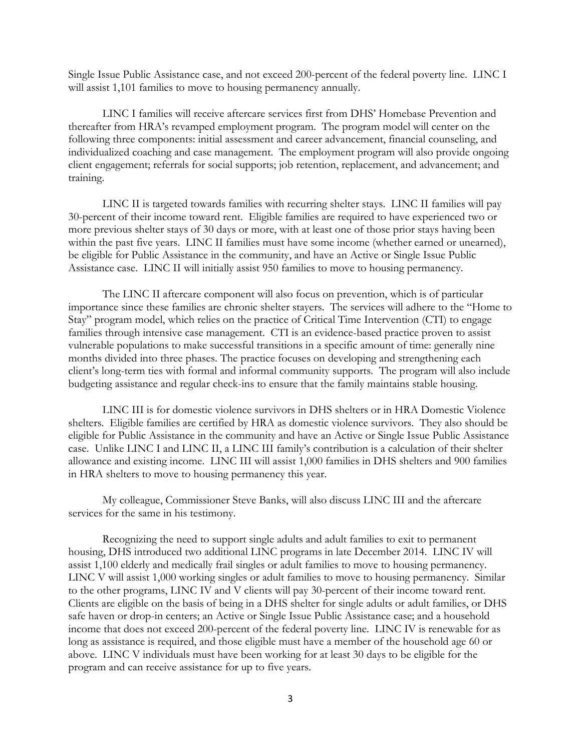Single Issue Public Assistance case, and not exceed 200-percent of the federal poverty line. LINC I will assist 1,101 families to move to housing permanency annually.

LINC I families will receive aftercare services first from DHS' Homebase Prevention and thereafter from HRA's revamped employment program. The program model will center on the following three components: initial assessment and career advancement, financial counseling, and individualized coaching and case management. The employment program will also provide ongoing client engagement; referrals for social supports; job retention, replacement, and advancement; and training.

LINC II is targeted towards families with recurring shelter stays. LINC II families will pay 30-percent of their income toward rent. Eligible families are required to have experienced two or more previous shelter stays of 30 days or more, with at least one of those prior stays having been within the past five years. LINC II families must have some income (whether earned or unearned), be eligible for Public Assistance in the community, and have an Active or Single Issue Public Assistance case. LINC II will initially assist 950 families to move to housing permanency.

The LINC II aftercare component will also focus on prevention, which is of particular importance since these families are chronic shelter stayers. The services will adhere to the "Home to Stay" program model, which relies on the practice of Critical Time Intervention (CTI) to engage families through intensive case management. CTI is an evidence-based practice proven to assist vulnerable populations to make successful transitions in a specific amount of time: generally nine months divided into three phases. The practice focuses on developing and strengthening each client's long-term ties with formal and informal community supports. The program will also include budgeting assistance and regular check-ins to ensure that the family maintains stable housing.

LINC III is for domestic violence survivors in DHS shelters or in HRA Domestic Violence shelters. Eligible families are certified by HRA as domestic violence survivors. They also should be eligible for Public Assistance in the community and have an Active or Single Issue Public Assistance case. Unlike LINC I and LINC II, a LINC III family's contribution is a calculation of their shelter allowance and existing income. LINC III will assist 1,000 families in DHS shelters and 900 families in HRA shelters to move to housing permanency this year.

My colleague, Commissioner Steve Banks, will also discuss LINC III and the aftercare services for the same in his testimony.

Recognizing the need to support single adults and adult families to exit to permanent housing, DHS introduced two additional LINC programs in late December 2014. LINC IV will assist 1,100 elderly and medically frail singles or adult families to move to housing permanency. LINC V will assist 1,000 working singles or adult families to move to housing permanency. Similar to the other programs, LINC IV and V clients will pay 30-percent of their income toward rent. Clients are eligible on the basis of being in a DHS shelter for single adults or adult families, or DHS safe haven or drop-in centers; an Active or Single Issue Public Assistance case; and a household income that does not exceed 200-percent of the federal poverty line. LINC IV is renewable for as long as assistance is required, and those eligible must have a member of the household age 60 or above. LINC V individuals must have been working for at least 30 days to be eligible for the program and can receive assistance for up to five years.